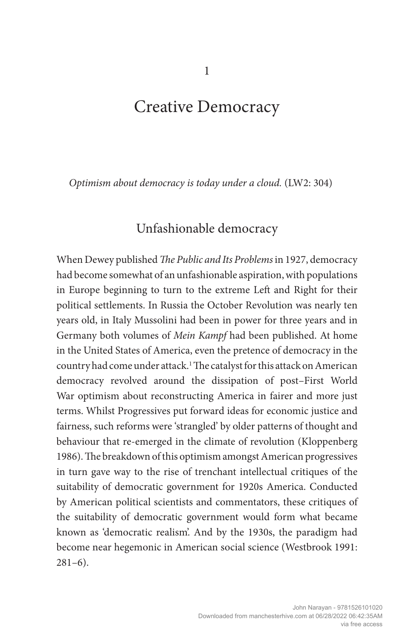# Creative Democracy

*Optimism about democracy is today under a cloud.* (LW2: 304)

### Unfashionable democracy

When Dewey published *The Public and Its Problems* in 1927, democracy had become somewhat of an unfashionable aspiration, with populations in Europe beginning to turn to the extreme Left and Right for their political settlements. In Russia the October Revolution was nearly ten years old, in Italy Mussolini had been in power for three years and in Germany both volumes of *Mein Kampf* had been published. At home in the United States of America, even the pretence of democracy in the country had come under attack.1 The catalyst for this attack on American democracy revolved around the dissipation of post–First World War optimism about reconstructing America in fairer and more just terms. Whilst Progressives put forward ideas for economic justice and fairness, such reforms were 'strangled' by older patterns of thought and behaviour that re-emerged in the climate of revolution (Kloppenberg 1986). The breakdown of this optimism amongst American progressives in turn gave way to the rise of trenchant intellectual critiques of the suitability of democratic government for 1920s America. Conducted by American political scientists and commentators, these critiques of the suitability of democratic government would form what became known as 'democratic realism'. And by the 1930s, the paradigm had become near hegemonic in American social science (Westbrook 1991:  $281-6$ ).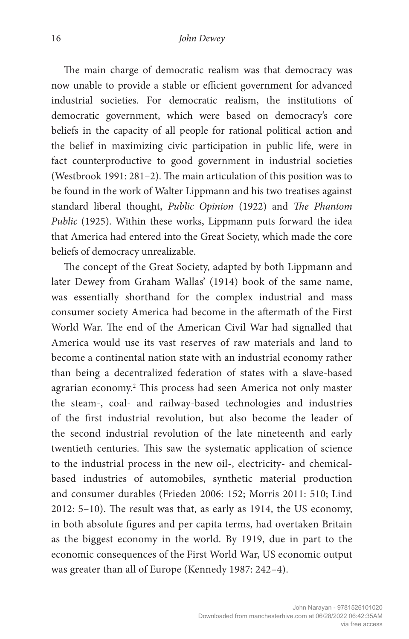The main charge of democratic realism was that democracy was now unable to provide a stable or efficient government for advanced industrial societies. For democratic realism, the institutions of democratic government, which were based on democracy's core beliefs in the capacity of all people for rational political action and the belief in maximizing civic participation in public life, were in fact counterproductive to good government in industrial societies (Westbrook 1991: 281–2). The main articulation of this position was to be found in the work of Walter Lippmann and his two treatises against standard liberal thought, *Public Opinion* (1922) and *The Phantom Public* (1925). Within these works, Lippmann puts forward the idea that America had entered into the Great Society, which made the core beliefs of democracy unrealizable.

The concept of the Great Society, adapted by both Lippmann and later Dewey from Graham Wallas' (1914) book of the same name, was essentially shorthand for the complex industrial and mass consumer society America had become in the aftermath of the First World War. The end of the American Civil War had signalled that America would use its vast reserves of raw materials and land to become a continental nation state with an industrial economy rather than being a decentralized federation of states with a slave-based agrarian economy.2 This process had seen America not only master the steam-, coal- and railway-based technologies and industries of the first industrial revolution, but also become the leader of the second industrial revolution of the late nineteenth and early twentieth centuries. This saw the systematic application of science to the industrial process in the new oil-, electricity- and chemicalbased industries of automobiles, synthetic material production and consumer durables (Frieden 2006: 152; Morris 2011: 510; Lind 2012: 5–10). The result was that, as early as 1914, the US economy, in both absolute figures and per capita terms, had overtaken Britain as the biggest economy in the world. By 1919, due in part to the economic consequences of the First World War, US economic output was greater than all of Europe (Kennedy 1987: 242–4).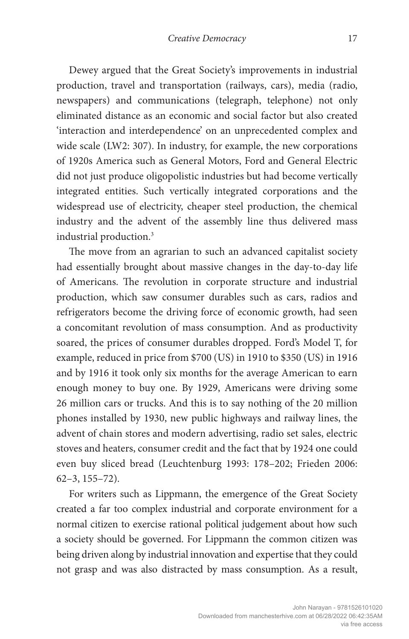Dewey argued that the Great Society's improvements in industrial production, travel and transportation (railways, cars), media (radio, newspapers) and communications (telegraph, telephone) not only eliminated distance as an economic and social factor but also created 'interaction and interdependence' on an unprecedented complex and wide scale (LW2: 307). In industry, for example, the new corporations of 1920s America such as General Motors, Ford and General Electric did not just produce oligopolistic industries but had become vertically integrated entities. Such vertically integrated corporations and the widespread use of electricity, cheaper steel production, the chemical industry and the advent of the assembly line thus delivered mass industrial production.3

The move from an agrarian to such an advanced capitalist society had essentially brought about massive changes in the day-to-day life of Americans. The revolution in corporate structure and industrial production, which saw consumer durables such as cars, radios and refrigerators become the driving force of economic growth, had seen a concomitant revolution of mass consumption. And as productivity soared, the prices of consumer durables dropped. Ford's Model T, for example, reduced in price from \$700 (US) in 1910 to \$350 (US) in 1916 and by 1916 it took only six months for the average American to earn enough money to buy one. By 1929, Americans were driving some 26 million cars or trucks. And this is to say nothing of the 20 million phones installed by 1930, new public highways and railway lines, the advent of chain stores and modern advertising, radio set sales, electric stoves and heaters, consumer credit and the fact that by 1924 one could even buy sliced bread (Leuchtenburg 1993: 178–202; Frieden 2006: 62–3, 155–72).

For writers such as Lippmann, the emergence of the Great Society created a far too complex industrial and corporate environment for a normal citizen to exercise rational political judgement about how such a society should be governed. For Lippmann the common citizen was being driven along by industrial innovation and expertise that they could not grasp and was also distracted by mass consumption. As a result,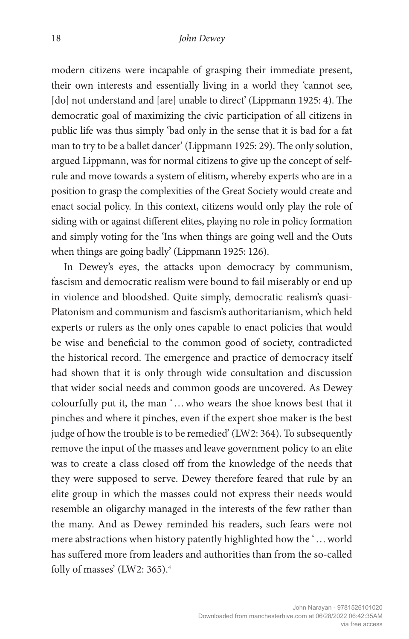modern citizens were incapable of grasping their immediate present, their own interests and essentially living in a world they 'cannot see, [do] not understand and [are] unable to direct' (Lippmann 1925: 4). The democratic goal of maximizing the civic participation of all citizens in public life was thus simply 'bad only in the sense that it is bad for a fat man to try to be a ballet dancer' (Lippmann 1925: 29). The only solution, argued Lippmann, was for normal citizens to give up the concept of selfrule and move towards a system of elitism, whereby experts who are in a position to grasp the complexities of the Great Society would create and enact social policy. In this context, citizens would only play the role of siding with or against different elites, playing no role in policy formation and simply voting for the 'Ins when things are going well and the Outs when things are going badly' (Lippmann 1925: 126).

In Dewey's eyes, the attacks upon democracy by communism, fascism and democratic realism were bound to fail miserably or end up in violence and bloodshed. Quite simply, democratic realism's quasi-Platonism and communism and fascism's authoritarianism, which held experts or rulers as the only ones capable to enact policies that would be wise and beneficial to the common good of society, contradicted the historical record. The emergence and practice of democracy itself had shown that it is only through wide consultation and discussion that wider social needs and common goods are uncovered. As Dewey colourfully put it, the man '…who wears the shoe knows best that it pinches and where it pinches, even if the expert shoe maker is the best judge of how the trouble is to be remedied' (LW2: 364). To subsequently remove the input of the masses and leave government policy to an elite was to create a class closed off from the knowledge of the needs that they were supposed to serve. Dewey therefore feared that rule by an elite group in which the masses could not express their needs would resemble an oligarchy managed in the interests of the few rather than the many. And as Dewey reminded his readers, such fears were not mere abstractions when history patently highlighted how the '…world has suffered more from leaders and authorities than from the so-called folly of masses' (LW2: 365).<sup>4</sup>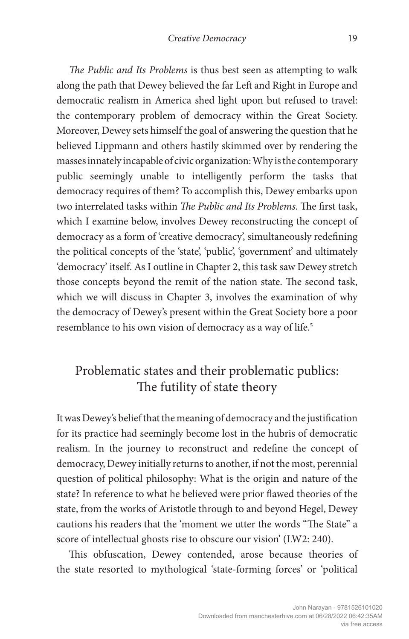*The Public and Its Problems* is thus best seen as attempting to walk along the path that Dewey believed the far Left and Right in Europe and democratic realism in America shed light upon but refused to travel: the contemporary problem of democracy within the Great Society. Moreover, Dewey sets himself the goal of answering the question that he believed Lippmann and others hastily skimmed over by rendering the masses innately incapable of civic organization: Why is the contemporary public seemingly unable to intelligently perform the tasks that democracy requires of them? To accomplish this, Dewey embarks upon two interrelated tasks within *The Public and Its Problems*. The first task, which I examine below, involves Dewey reconstructing the concept of democracy as a form of 'creative democracy', simultaneously redefining the political concepts of the 'state', 'public', 'government' and ultimately 'democracy' itself. As I outline in Chapter 2, this task saw Dewey stretch those concepts beyond the remit of the nation state. The second task, which we will discuss in Chapter 3, involves the examination of why the democracy of Dewey's present within the Great Society bore a poor resemblance to his own vision of democracy as a way of life.<sup>5</sup>

## Problematic states and their problematic publics: The futility of state theory

It was Dewey's belief that the meaning of democracy and the justification for its practice had seemingly become lost in the hubris of democratic realism. In the journey to reconstruct and redefine the concept of democracy, Dewey initially returns to another, if not the most, perennial question of political philosophy: What is the origin and nature of the state? In reference to what he believed were prior flawed theories of the state, from the works of Aristotle through to and beyond Hegel, Dewey cautions his readers that the 'moment we utter the words "The State" a score of intellectual ghosts rise to obscure our vision' (LW2: 240).

This obfuscation, Dewey contended, arose because theories of the state resorted to mythological 'state-forming forces' or 'political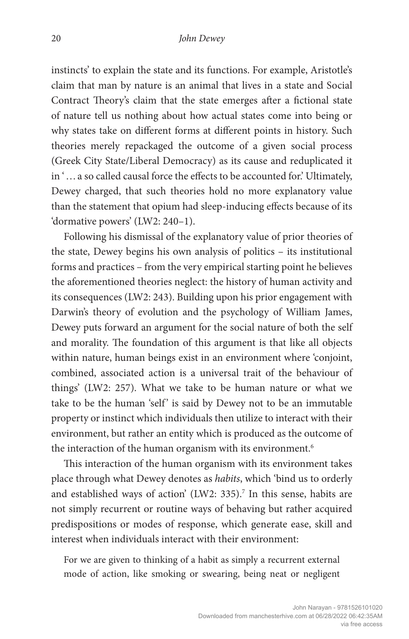instincts' to explain the state and its functions. For example, Aristotle's claim that man by nature is an animal that lives in a state and Social Contract Theory's claim that the state emerges after a fictional state of nature tell us nothing about how actual states come into being or why states take on different forms at different points in history. Such theories merely repackaged the outcome of a given social process (Greek City State/Liberal Democracy) as its cause and reduplicated it in '…a so called causal force the effects to be accounted for.' Ultimately, Dewey charged, that such theories hold no more explanatory value than the statement that opium had sleep-inducing effects because of its 'dormative powers' (LW2: 240–1).

Following his dismissal of the explanatory value of prior theories of the state, Dewey begins his own analysis of politics – its institutional forms and practices – from the very empirical starting point he believes the aforementioned theories neglect: the history of human activity and its consequences (LW2: 243). Building upon his prior engagement with Darwin's theory of evolution and the psychology of William James, Dewey puts forward an argument for the social nature of both the self and morality. The foundation of this argument is that like all objects within nature, human beings exist in an environment where 'conjoint, combined, associated action is a universal trait of the behaviour of things' (LW2: 257). What we take to be human nature or what we take to be the human 'self' is said by Dewey not to be an immutable property or instinct which individuals then utilize to interact with their environment, but rather an entity which is produced as the outcome of the interaction of the human organism with its environment.<sup>6</sup>

This interaction of the human organism with its environment takes place through what Dewey denotes as *habits*, which 'bind us to orderly and established ways of action' (LW2: 335).<sup>7</sup> In this sense, habits are not simply recurrent or routine ways of behaving but rather acquired predispositions or modes of response, which generate ease, skill and interest when individuals interact with their environment:

For we are given to thinking of a habit as simply a recurrent external mode of action, like smoking or swearing, being neat or negligent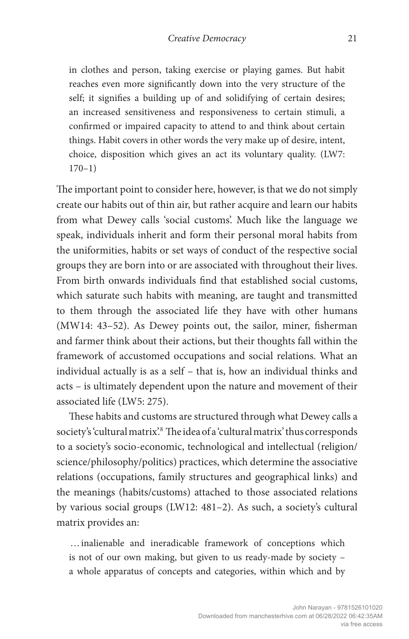in clothes and person, taking exercise or playing games. But habit reaches even more significantly down into the very structure of the self; it signifies a building up of and solidifying of certain desires; an increased sensitiveness and responsiveness to certain stimuli, a confirmed or impaired capacity to attend to and think about certain things. Habit covers in other words the very make up of desire, intent, choice, disposition which gives an act its voluntary quality. (LW7: 170–1)

The important point to consider here, however, is that we do not simply create our habits out of thin air, but rather acquire and learn our habits from what Dewey calls 'social customs'. Much like the language we speak, individuals inherit and form their personal moral habits from the uniformities, habits or set ways of conduct of the respective social groups they are born into or are associated with throughout their lives. From birth onwards individuals find that established social customs, which saturate such habits with meaning, are taught and transmitted to them through the associated life they have with other humans (MW14: 43–52). As Dewey points out, the sailor, miner, fisherman and farmer think about their actions, but their thoughts fall within the framework of accustomed occupations and social relations. What an individual actually is as a self – that is, how an individual thinks and acts – is ultimately dependent upon the nature and movement of their associated life (LW5: 275).

These habits and customs are structured through what Dewey calls a society's 'cultural matrix'.<sup>8</sup> The idea of a 'cultural matrix' thus corresponds to a society's socio-economic, technological and intellectual (religion/ science/philosophy/politics) practices, which determine the associative relations (occupations, family structures and geographical links) and the meanings (habits/customs) attached to those associated relations by various social groups (LW12: 481–2). As such, a society's cultural matrix provides an:

…inalienable and ineradicable framework of conceptions which is not of our own making, but given to us ready-made by society – a whole apparatus of concepts and categories, within which and by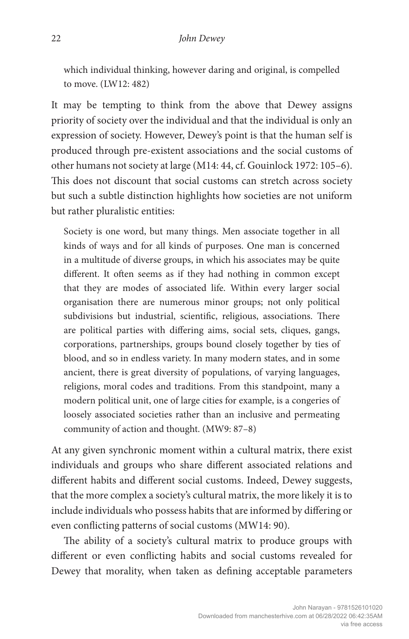which individual thinking, however daring and original, is compelled to move. (LW12: 482)

It may be tempting to think from the above that Dewey assigns priority of society over the individual and that the individual is only an expression of society. However, Dewey's point is that the human self is produced through pre-existent associations and the social customs of other humans not society at large (M14: 44, cf. Gouinlock 1972: 105–6). This does not discount that social customs can stretch across society but such a subtle distinction highlights how societies are not uniform but rather pluralistic entities:

Society is one word, but many things. Men associate together in all kinds of ways and for all kinds of purposes. One man is concerned in a multitude of diverse groups, in which his associates may be quite different. It often seems as if they had nothing in common except that they are modes of associated life. Within every larger social organisation there are numerous minor groups; not only political subdivisions but industrial, scientific, religious, associations. There are political parties with differing aims, social sets, cliques, gangs, corporations, partnerships, groups bound closely together by ties of blood, and so in endless variety. In many modern states, and in some ancient, there is great diversity of populations, of varying languages, religions, moral codes and traditions. From this standpoint, many a modern political unit, one of large cities for example, is a congeries of loosely associated societies rather than an inclusive and permeating community of action and thought. (MW9: 87–8)

At any given synchronic moment within a cultural matrix, there exist individuals and groups who share different associated relations and different habits and different social customs. Indeed, Dewey suggests, that the more complex a society's cultural matrix, the more likely it is to include individuals who possess habits that are informed by differing or even conflicting patterns of social customs (MW14: 90).

The ability of a society's cultural matrix to produce groups with different or even conflicting habits and social customs revealed for Dewey that morality, when taken as defining acceptable parameters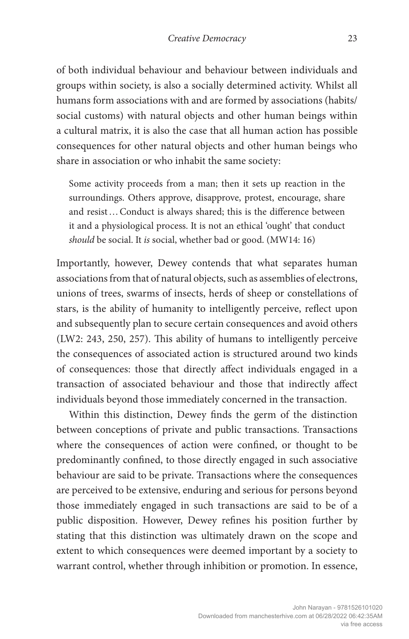of both individual behaviour and behaviour between individuals and groups within society, is also a socially determined activity. Whilst all humans form associations with and are formed by associations (habits/ social customs) with natural objects and other human beings within a cultural matrix, it is also the case that all human action has possible consequences for other natural objects and other human beings who share in association or who inhabit the same society:

Some activity proceeds from a man; then it sets up reaction in the surroundings. Others approve, disapprove, protest, encourage, share and resist…Conduct is always shared; this is the difference between it and a physiological process. It is not an ethical 'ought' that conduct *should* be social. It *is* social, whether bad or good. (MW14: 16)

Importantly, however, Dewey contends that what separates human associations from that of natural objects, such as assemblies of electrons, unions of trees, swarms of insects, herds of sheep or constellations of stars, is the ability of humanity to intelligently perceive, reflect upon and subsequently plan to secure certain consequences and avoid others (LW2: 243, 250, 257). This ability of humans to intelligently perceive the consequences of associated action is structured around two kinds of consequences: those that directly affect individuals engaged in a transaction of associated behaviour and those that indirectly affect individuals beyond those immediately concerned in the transaction.

Within this distinction, Dewey finds the germ of the distinction between conceptions of private and public transactions. Transactions where the consequences of action were confined, or thought to be predominantly confined, to those directly engaged in such associative behaviour are said to be private. Transactions where the consequences are perceived to be extensive, enduring and serious for persons beyond those immediately engaged in such transactions are said to be of a public disposition. However, Dewey refines his position further by stating that this distinction was ultimately drawn on the scope and extent to which consequences were deemed important by a society to warrant control, whether through inhibition or promotion. In essence,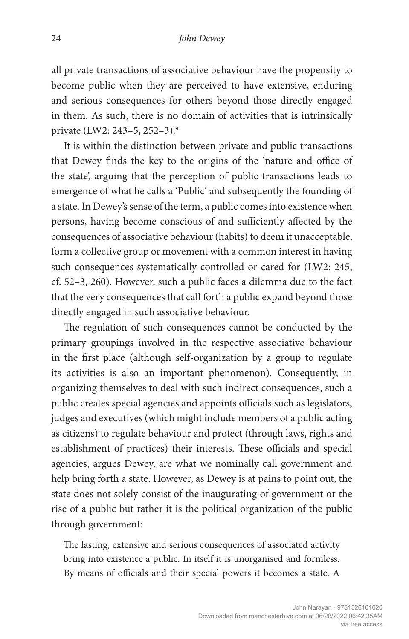all private transactions of associative behaviour have the propensity to become public when they are perceived to have extensive, enduring and serious consequences for others beyond those directly engaged in them. As such, there is no domain of activities that is intrinsically private (LW2: 243–5, 252–3).9

It is within the distinction between private and public transactions that Dewey finds the key to the origins of the 'nature and office of the state', arguing that the perception of public transactions leads to emergence of what he calls a 'Public' and subsequently the founding of a state. In Dewey's sense of the term, a public comes into existence when persons, having become conscious of and sufficiently affected by the consequences of associative behaviour (habits) to deem it unacceptable, form a collective group or movement with a common interest in having such consequences systematically controlled or cared for (LW2: 245, cf. 52–3, 260). However, such a public faces a dilemma due to the fact that the very consequences that call forth a public expand beyond those directly engaged in such associative behaviour.

The regulation of such consequences cannot be conducted by the primary groupings involved in the respective associative behaviour in the first place (although self-organization by a group to regulate its activities is also an important phenomenon). Consequently, in organizing themselves to deal with such indirect consequences, such a public creates special agencies and appoints officials such as legislators, judges and executives (which might include members of a public acting as citizens) to regulate behaviour and protect (through laws, rights and establishment of practices) their interests. These officials and special agencies, argues Dewey, are what we nominally call government and help bring forth a state. However, as Dewey is at pains to point out, the state does not solely consist of the inaugurating of government or the rise of a public but rather it is the political organization of the public through government:

The lasting, extensive and serious consequences of associated activity bring into existence a public. In itself it is unorganised and formless. By means of officials and their special powers it becomes a state. A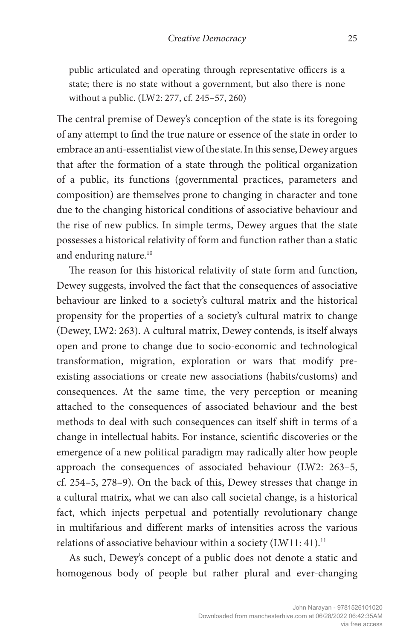public articulated and operating through representative officers is a state; there is no state without a government, but also there is none without a public. (LW2: 277, cf. 245–57, 260)

The central premise of Dewey's conception of the state is its foregoing of any attempt to find the true nature or essence of the state in order to embrace an anti-essentialist view of the state. In this sense, Dewey argues that after the formation of a state through the political organization of a public, its functions (governmental practices, parameters and composition) are themselves prone to changing in character and tone due to the changing historical conditions of associative behaviour and the rise of new publics. In simple terms, Dewey argues that the state possesses a historical relativity of form and function rather than a static and enduring nature.<sup>10</sup>

The reason for this historical relativity of state form and function, Dewey suggests, involved the fact that the consequences of associative behaviour are linked to a society's cultural matrix and the historical propensity for the properties of a society's cultural matrix to change (Dewey, LW2: 263). A cultural matrix, Dewey contends, is itself always open and prone to change due to socio-economic and technological transformation, migration, exploration or wars that modify preexisting associations or create new associations (habits/customs) and consequences. At the same time, the very perception or meaning attached to the consequences of associated behaviour and the best methods to deal with such consequences can itself shift in terms of a change in intellectual habits. For instance, scientific discoveries or the emergence of a new political paradigm may radically alter how people approach the consequences of associated behaviour (LW2: 263–5, cf. 254–5, 278–9). On the back of this, Dewey stresses that change in a cultural matrix, what we can also call societal change, is a historical fact, which injects perpetual and potentially revolutionary change in multifarious and different marks of intensities across the various relations of associative behaviour within a society (LW11: 41).<sup>11</sup>

As such, Dewey's concept of a public does not denote a static and homogenous body of people but rather plural and ever-changing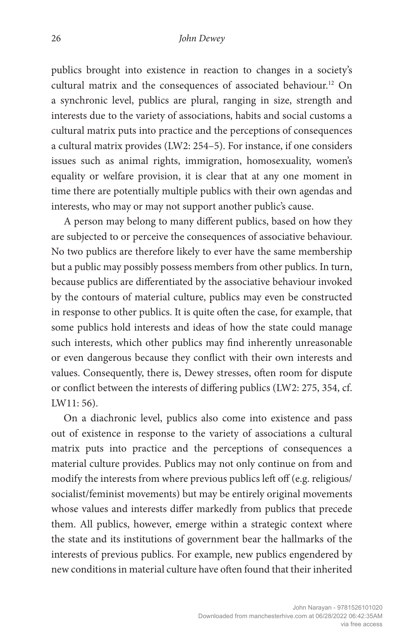publics brought into existence in reaction to changes in a society's cultural matrix and the consequences of associated behaviour.<sup>12</sup> On a synchronic level, publics are plural, ranging in size, strength and interests due to the variety of associations, habits and social customs a cultural matrix puts into practice and the perceptions of consequences a cultural matrix provides (LW2: 254–5). For instance, if one considers issues such as animal rights, immigration, homosexuality, women's equality or welfare provision, it is clear that at any one moment in time there are potentially multiple publics with their own agendas and interests, who may or may not support another public's cause.

A person may belong to many different publics, based on how they are subjected to or perceive the consequences of associative behaviour. No two publics are therefore likely to ever have the same membership but a public may possibly possess members from other publics. In turn, because publics are differentiated by the associative behaviour invoked by the contours of material culture, publics may even be constructed in response to other publics. It is quite often the case, for example, that some publics hold interests and ideas of how the state could manage such interests, which other publics may find inherently unreasonable or even dangerous because they conflict with their own interests and values. Consequently, there is, Dewey stresses, often room for dispute or conflict between the interests of differing publics (LW2: 275, 354, cf. LW11: 56).

On a diachronic level, publics also come into existence and pass out of existence in response to the variety of associations a cultural matrix puts into practice and the perceptions of consequences a material culture provides. Publics may not only continue on from and modify the interests from where previous publics left off (e.g. religious/ socialist/feminist movements) but may be entirely original movements whose values and interests differ markedly from publics that precede them. All publics, however, emerge within a strategic context where the state and its institutions of government bear the hallmarks of the interests of previous publics. For example, new publics engendered by new conditions in material culture have often found that their inherited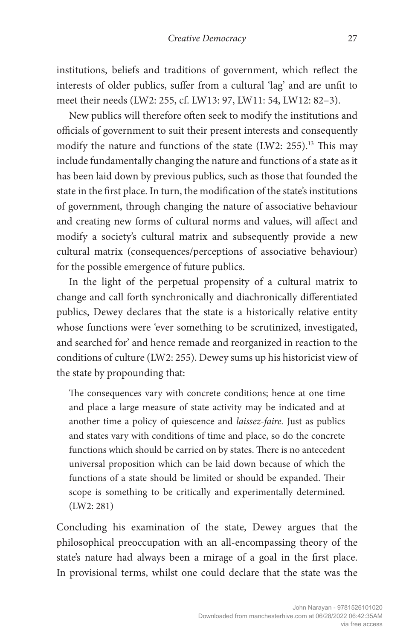institutions, beliefs and traditions of government, which reflect the interests of older publics, suffer from a cultural 'lag' and are unfit to meet their needs (LW2: 255, cf. LW13: 97, LW11: 54, LW12: 82–3).

New publics will therefore often seek to modify the institutions and officials of government to suit their present interests and consequently modify the nature and functions of the state (LW2: 255).13 This may include fundamentally changing the nature and functions of a state as it has been laid down by previous publics, such as those that founded the state in the first place. In turn, the modification of the state's institutions of government, through changing the nature of associative behaviour and creating new forms of cultural norms and values, will affect and modify a society's cultural matrix and subsequently provide a new cultural matrix (consequences/perceptions of associative behaviour) for the possible emergence of future publics.

In the light of the perpetual propensity of a cultural matrix to change and call forth synchronically and diachronically differentiated publics, Dewey declares that the state is a historically relative entity whose functions were 'ever something to be scrutinized, investigated, and searched for' and hence remade and reorganized in reaction to the conditions of culture (LW2: 255). Dewey sums up his historicist view of the state by propounding that:

The consequences vary with concrete conditions; hence at one time and place a large measure of state activity may be indicated and at another time a policy of quiescence and *laissez-faire.* Just as publics and states vary with conditions of time and place, so do the concrete functions which should be carried on by states. There is no antecedent universal proposition which can be laid down because of which the functions of a state should be limited or should be expanded. Their scope is something to be critically and experimentally determined. (LW2: 281)

Concluding his examination of the state, Dewey argues that the philosophical preoccupation with an all-encompassing theory of the state's nature had always been a mirage of a goal in the first place. In provisional terms, whilst one could declare that the state was the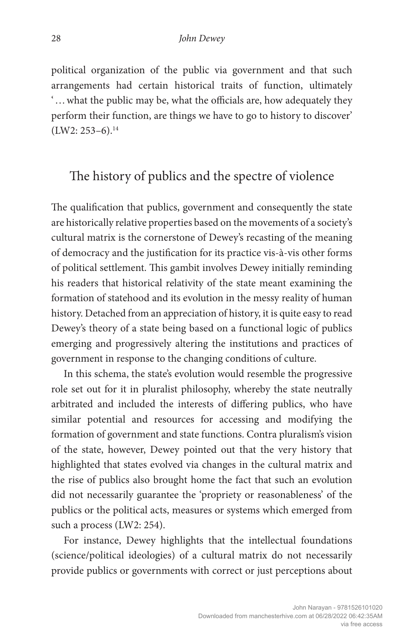political organization of the public via government and that such arrangements had certain historical traits of function, ultimately '…what the public may be, what the officials are, how adequately they perform their function, are things we have to go to history to discover'  $(LW2: 253-6).$ <sup>14</sup>

#### The history of publics and the spectre of violence

The qualification that publics, government and consequently the state are historically relative properties based on the movements of a society's cultural matrix is the cornerstone of Dewey's recasting of the meaning of democracy and the justification for its practice vis-à-vis other forms of political settlement. This gambit involves Dewey initially reminding his readers that historical relativity of the state meant examining the formation of statehood and its evolution in the messy reality of human history. Detached from an appreciation of history, it is quite easy to read Dewey's theory of a state being based on a functional logic of publics emerging and progressively altering the institutions and practices of government in response to the changing conditions of culture.

In this schema, the state's evolution would resemble the progressive role set out for it in pluralist philosophy, whereby the state neutrally arbitrated and included the interests of differing publics, who have similar potential and resources for accessing and modifying the formation of government and state functions. Contra pluralism's vision of the state, however, Dewey pointed out that the very history that highlighted that states evolved via changes in the cultural matrix and the rise of publics also brought home the fact that such an evolution did not necessarily guarantee the 'propriety or reasonableness' of the publics or the political acts, measures or systems which emerged from such a process (LW2: 254).

For instance, Dewey highlights that the intellectual foundations (science/political ideologies) of a cultural matrix do not necessarily provide publics or governments with correct or just perceptions about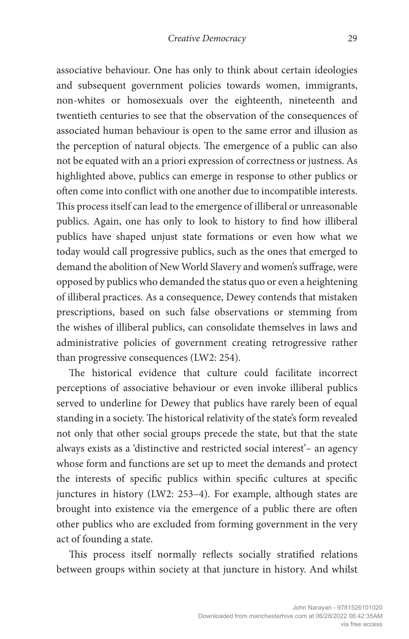associative behaviour. One has only to think about certain ideologies and subsequent government policies towards women, immigrants, non-whites or homosexuals over the eighteenth, nineteenth and twentieth centuries to see that the observation of the consequences of associated human behaviour is open to the same error and illusion as the perception of natural objects. The emergence of a public can also not be equated with an a priori expression of correctness or justness. As highlighted above, publics can emerge in response to other publics or often come into conflict with one another due to incompatible interests. This process itself can lead to the emergence of illiberal or unreasonable publics. Again, one has only to look to history to find how illiberal publics have shaped unjust state formations or even how what we today would call progressive publics, such as the ones that emerged to demand the abolition of New World Slavery and women's suffrage, were opposed by publics who demanded the status quo or even a heightening of illiberal practices. As a consequence, Dewey contends that mistaken prescriptions, based on such false observations or stemming from the wishes of illiberal publics, can consolidate themselves in laws and administrative policies of government creating retrogressive rather than progressive consequences (LW2: 254).

The historical evidence that culture could facilitate incorrect perceptions of associative behaviour or even invoke illiberal publics served to underline for Dewey that publics have rarely been of equal standing in a society. The historical relativity of the state's form revealed not only that other social groups precede the state, but that the state always exists as a 'distinctive and restricted social interest'– an agency whose form and functions are set up to meet the demands and protect the interests of specific publics within specific cultures at specific junctures in history (LW2: 253–4). For example, although states are brought into existence via the emergence of a public there are often other publics who are excluded from forming government in the very act of founding a state.

This process itself normally reflects socially stratified relations between groups within society at that juncture in history. And whilst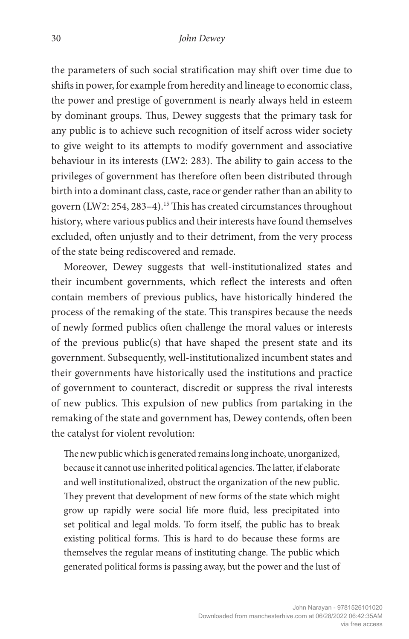the parameters of such social stratification may shift over time due to shifts in power, for example from heredity and lineage to economic class, the power and prestige of government is nearly always held in esteem by dominant groups. Thus, Dewey suggests that the primary task for any public is to achieve such recognition of itself across wider society to give weight to its attempts to modify government and associative behaviour in its interests (LW2: 283). The ability to gain access to the privileges of government has therefore often been distributed through birth into a dominant class, caste, race or gender rather than an ability to govern (LW2: 254, 283–4).15 This has created circumstances throughout history, where various publics and their interests have found themselves excluded, often unjustly and to their detriment, from the very process of the state being rediscovered and remade.

Moreover, Dewey suggests that well-institutionalized states and their incumbent governments, which reflect the interests and often contain members of previous publics, have historically hindered the process of the remaking of the state. This transpires because the needs of newly formed publics often challenge the moral values or interests of the previous public(s) that have shaped the present state and its government. Subsequently, well-institutionalized incumbent states and their governments have historically used the institutions and practice of government to counteract, discredit or suppress the rival interests of new publics. This expulsion of new publics from partaking in the remaking of the state and government has, Dewey contends, often been the catalyst for violent revolution:

The new public which is generated remains long inchoate, unorganized, because it cannot use inherited political agencies. The latter, if elaborate and well institutionalized, obstruct the organization of the new public. They prevent that development of new forms of the state which might grow up rapidly were social life more fluid, less precipitated into set political and legal molds. To form itself, the public has to break existing political forms. This is hard to do because these forms are themselves the regular means of instituting change. The public which generated political forms is passing away, but the power and the lust of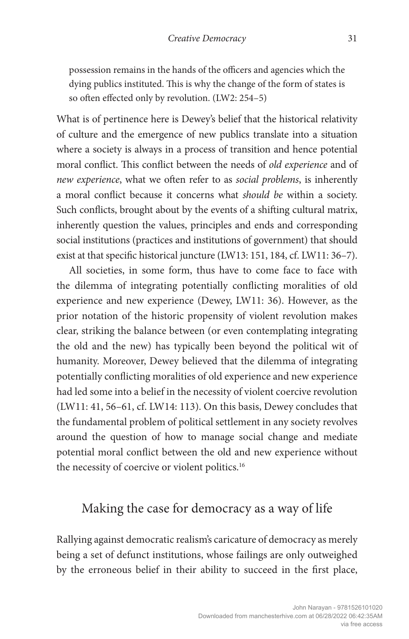possession remains in the hands of the officers and agencies which the dying publics instituted. This is why the change of the form of states is so often effected only by revolution. (LW2: 254–5)

What is of pertinence here is Dewey's belief that the historical relativity of culture and the emergence of new publics translate into a situation where a society is always in a process of transition and hence potential moral conflict. This conflict between the needs of *old experience* and of *new experience*, what we often refer to as *social problems*, is inherently a moral conflict because it concerns what *should be* within a society. Such conflicts, brought about by the events of a shifting cultural matrix, inherently question the values, principles and ends and corresponding social institutions (practices and institutions of government) that should exist at that specific historical juncture (LW13: 151, 184, cf. LW11: 36–7).

All societies, in some form, thus have to come face to face with the dilemma of integrating potentially conflicting moralities of old experience and new experience (Dewey, LW11: 36). However, as the prior notation of the historic propensity of violent revolution makes clear, striking the balance between (or even contemplating integrating the old and the new) has typically been beyond the political wit of humanity. Moreover, Dewey believed that the dilemma of integrating potentially conflicting moralities of old experience and new experience had led some into a belief in the necessity of violent coercive revolution (LW11: 41, 56–61, cf. LW14: 113). On this basis, Dewey concludes that the fundamental problem of political settlement in any society revolves around the question of how to manage social change and mediate potential moral conflict between the old and new experience without the necessity of coercive or violent politics.<sup>16</sup>

#### Making the case for democracy as a way of life

Rallying against democratic realism's caricature of democracy as merely being a set of defunct institutions, whose failings are only outweighed by the erroneous belief in their ability to succeed in the first place,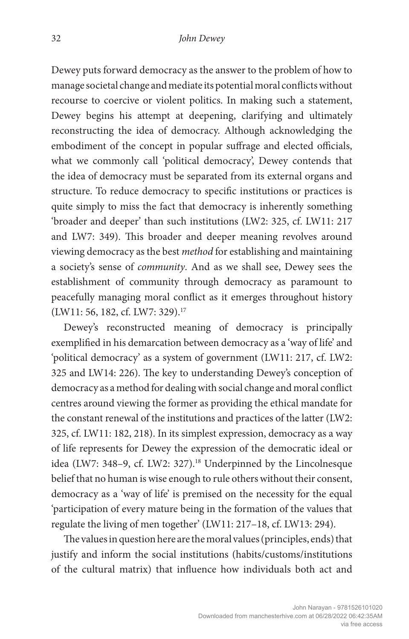Dewey puts forward democracy as the answer to the problem of how to manage societal change and mediate its potential moral conflicts without recourse to coercive or violent politics. In making such a statement, Dewey begins his attempt at deepening, clarifying and ultimately reconstructing the idea of democracy. Although acknowledging the embodiment of the concept in popular suffrage and elected officials, what we commonly call 'political democracy', Dewey contends that the idea of democracy must be separated from its external organs and structure. To reduce democracy to specific institutions or practices is quite simply to miss the fact that democracy is inherently something 'broader and deeper' than such institutions (LW2: 325, cf. LW11: 217 and LW7: 349). This broader and deeper meaning revolves around viewing democracy as the best *method* for establishing and maintaining a society's sense of *community*. And as we shall see, Dewey sees the establishment of community through democracy as paramount to peacefully managing moral conflict as it emerges throughout history (LW11: 56, 182, cf. LW7: 329).<sup>17</sup>

Dewey's reconstructed meaning of democracy is principally exemplified in his demarcation between democracy as a 'way of life' and 'political democracy' as a system of government (LW11: 217, cf. LW2: 325 and LW14: 226). The key to understanding Dewey's conception of democracy as a method for dealing with social change and moral conflict centres around viewing the former as providing the ethical mandate for the constant renewal of the institutions and practices of the latter (LW2: 325, cf. LW11: 182, 218). In its simplest expression, democracy as a way of life represents for Dewey the expression of the democratic ideal or idea (LW7: 348-9, cf. LW2: 327).<sup>18</sup> Underpinned by the Lincolnesque belief that no human is wise enough to rule others without their consent, democracy as a 'way of life' is premised on the necessity for the equal 'participation of every mature being in the formation of the values that regulate the living of men together' (LW11: 217–18, cf. LW13: 294).

The values in question here are the moral values (principles, ends) that justify and inform the social institutions (habits/customs/institutions of the cultural matrix) that influence how individuals both act and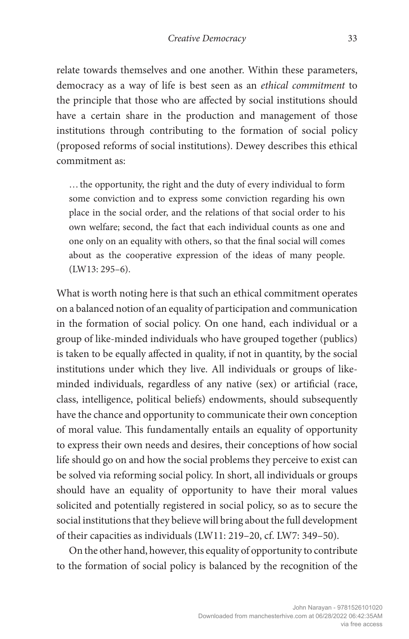relate towards themselves and one another. Within these parameters, democracy as a way of life is best seen as an *ethical commitment* to the principle that those who are affected by social institutions should have a certain share in the production and management of those institutions through contributing to the formation of social policy (proposed reforms of social institutions). Dewey describes this ethical commitment as:

…the opportunity, the right and the duty of every individual to form some conviction and to express some conviction regarding his own place in the social order, and the relations of that social order to his own welfare; second, the fact that each individual counts as one and one only on an equality with others, so that the final social will comes about as the cooperative expression of the ideas of many people. (LW13: 295–6).

What is worth noting here is that such an ethical commitment operates on a balanced notion of an equality of participation and communication in the formation of social policy. On one hand, each individual or a group of like-minded individuals who have grouped together (publics) is taken to be equally affected in quality, if not in quantity, by the social institutions under which they live. All individuals or groups of likeminded individuals, regardless of any native (sex) or artificial (race, class, intelligence, political beliefs) endowments, should subsequently have the chance and opportunity to communicate their own conception of moral value. This fundamentally entails an equality of opportunity to express their own needs and desires, their conceptions of how social life should go on and how the social problems they perceive to exist can be solved via reforming social policy. In short, all individuals or groups should have an equality of opportunity to have their moral values solicited and potentially registered in social policy, so as to secure the social institutions that they believe will bring about the full development of their capacities as individuals (LW11: 219–20, cf. LW7: 349–50).

On the other hand, however, this equality of opportunity to contribute to the formation of social policy is balanced by the recognition of the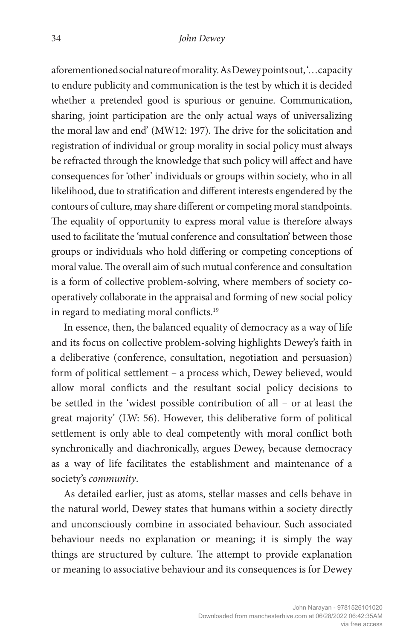aforementioned social nature of morality. As Dewey points out, '…capacity to endure publicity and communication is the test by which it is decided whether a pretended good is spurious or genuine. Communication, sharing, joint participation are the only actual ways of universalizing the moral law and end' (MW12: 197). The drive for the solicitation and registration of individual or group morality in social policy must always be refracted through the knowledge that such policy will affect and have consequences for 'other' individuals or groups within society, who in all likelihood, due to stratification and different interests engendered by the contours of culture, may share different or competing moral standpoints. The equality of opportunity to express moral value is therefore always used to facilitate the 'mutual conference and consultation' between those groups or individuals who hold differing or competing conceptions of moral value. The overall aim of such mutual conference and consultation is a form of collective problem-solving, where members of society cooperatively collaborate in the appraisal and forming of new social policy in regard to mediating moral conflicts.19

In essence, then, the balanced equality of democracy as a way of life and its focus on collective problem-solving highlights Dewey's faith in a deliberative (conference, consultation, negotiation and persuasion) form of political settlement – a process which, Dewey believed, would allow moral conflicts and the resultant social policy decisions to be settled in the 'widest possible contribution of all – or at least the great majority' (LW: 56). However, this deliberative form of political settlement is only able to deal competently with moral conflict both synchronically and diachronically, argues Dewey, because democracy as a way of life facilitates the establishment and maintenance of a society's *community*.

As detailed earlier, just as atoms, stellar masses and cells behave in the natural world, Dewey states that humans within a society directly and unconsciously combine in associated behaviour. Such associated behaviour needs no explanation or meaning; it is simply the way things are structured by culture. The attempt to provide explanation or meaning to associative behaviour and its consequences is for Dewey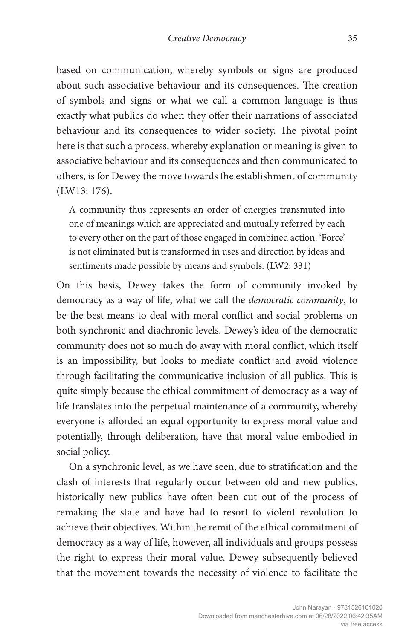based on communication, whereby symbols or signs are produced about such associative behaviour and its consequences. The creation of symbols and signs or what we call a common language is thus exactly what publics do when they offer their narrations of associated behaviour and its consequences to wider society. The pivotal point here is that such a process, whereby explanation or meaning is given to associative behaviour and its consequences and then communicated to others, is for Dewey the move towards the establishment of community (LW13: 176).

A community thus represents an order of energies transmuted into one of meanings which are appreciated and mutually referred by each to every other on the part of those engaged in combined action. 'Force' is not eliminated but is transformed in uses and direction by ideas and sentiments made possible by means and symbols. (LW2: 331)

On this basis, Dewey takes the form of community invoked by democracy as a way of life, what we call the *democratic community*, to be the best means to deal with moral conflict and social problems on both synchronic and diachronic levels. Dewey's idea of the democratic community does not so much do away with moral conflict, which itself is an impossibility, but looks to mediate conflict and avoid violence through facilitating the communicative inclusion of all publics. This is quite simply because the ethical commitment of democracy as a way of life translates into the perpetual maintenance of a community, whereby everyone is afforded an equal opportunity to express moral value and potentially, through deliberation, have that moral value embodied in social policy.

On a synchronic level, as we have seen, due to stratification and the clash of interests that regularly occur between old and new publics, historically new publics have often been cut out of the process of remaking the state and have had to resort to violent revolution to achieve their objectives. Within the remit of the ethical commitment of democracy as a way of life, however, all individuals and groups possess the right to express their moral value. Dewey subsequently believed that the movement towards the necessity of violence to facilitate the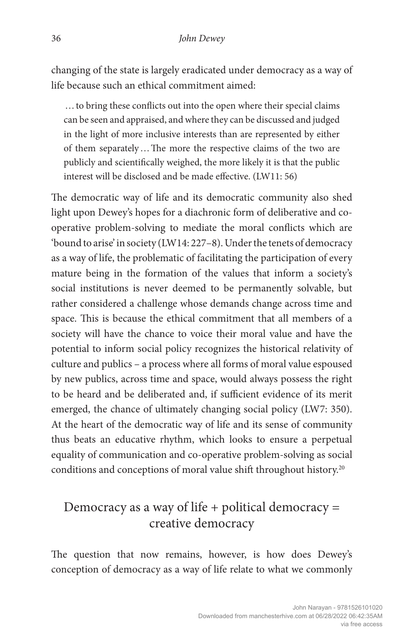changing of the state is largely eradicated under democracy as a way of life because such an ethical commitment aimed:

…to bring these conflicts out into the open where their special claims can be seen and appraised, and where they can be discussed and judged in the light of more inclusive interests than are represented by either of them separately…The more the respective claims of the two are publicly and scientifically weighed, the more likely it is that the public interest will be disclosed and be made effective. (LW11: 56)

The democratic way of life and its democratic community also shed light upon Dewey's hopes for a diachronic form of deliberative and cooperative problem-solving to mediate the moral conflicts which are 'bound to arise' in society (LW14: 227–8). Under the tenets of democracy as a way of life, the problematic of facilitating the participation of every mature being in the formation of the values that inform a society's social institutions is never deemed to be permanently solvable, but rather considered a challenge whose demands change across time and space. This is because the ethical commitment that all members of a society will have the chance to voice their moral value and have the potential to inform social policy recognizes the historical relativity of culture and publics – a process where all forms of moral value espoused by new publics, across time and space, would always possess the right to be heard and be deliberated and, if sufficient evidence of its merit emerged, the chance of ultimately changing social policy (LW7: 350). At the heart of the democratic way of life and its sense of community thus beats an educative rhythm, which looks to ensure a perpetual equality of communication and co-operative problem-solving as social conditions and conceptions of moral value shift throughout history.<sup>20</sup>

## Democracy as a way of life  $+$  political democracy  $=$ creative democracy

The question that now remains, however, is how does Dewey's conception of democracy as a way of life relate to what we commonly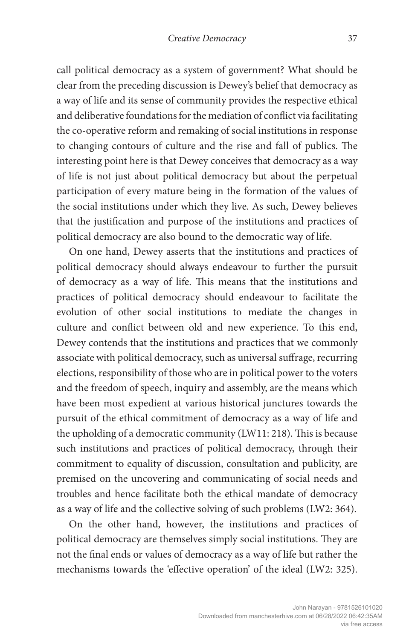call political democracy as a system of government? What should be clear from the preceding discussion is Dewey's belief that democracy as a way of life and its sense of community provides the respective ethical and deliberative foundations for the mediation of conflict via facilitating the co-operative reform and remaking of social institutions in response to changing contours of culture and the rise and fall of publics. The interesting point here is that Dewey conceives that democracy as a way of life is not just about political democracy but about the perpetual participation of every mature being in the formation of the values of the social institutions under which they live. As such, Dewey believes that the justification and purpose of the institutions and practices of political democracy are also bound to the democratic way of life.

On one hand, Dewey asserts that the institutions and practices of political democracy should always endeavour to further the pursuit of democracy as a way of life. This means that the institutions and practices of political democracy should endeavour to facilitate the evolution of other social institutions to mediate the changes in culture and conflict between old and new experience. To this end, Dewey contends that the institutions and practices that we commonly associate with political democracy, such as universal suffrage, recurring elections, responsibility of those who are in political power to the voters and the freedom of speech, inquiry and assembly, are the means which have been most expedient at various historical junctures towards the pursuit of the ethical commitment of democracy as a way of life and the upholding of a democratic community (LW11: 218). This is because such institutions and practices of political democracy, through their commitment to equality of discussion, consultation and publicity, are premised on the uncovering and communicating of social needs and troubles and hence facilitate both the ethical mandate of democracy as a way of life and the collective solving of such problems (LW2: 364).

On the other hand, however, the institutions and practices of political democracy are themselves simply social institutions. They are not the final ends or values of democracy as a way of life but rather the mechanisms towards the 'effective operation' of the ideal (LW2: 325).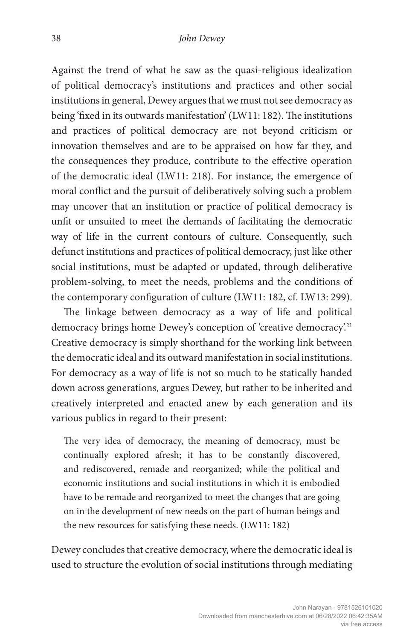Against the trend of what he saw as the quasi-religious idealization of political democracy's institutions and practices and other social institutions in general, Dewey argues that we must not see democracy as being 'fixed in its outwards manifestation' (LW11: 182). The institutions and practices of political democracy are not beyond criticism or innovation themselves and are to be appraised on how far they, and the consequences they produce, contribute to the effective operation of the democratic ideal (LW11: 218). For instance, the emergence of moral conflict and the pursuit of deliberatively solving such a problem may uncover that an institution or practice of political democracy is unfit or unsuited to meet the demands of facilitating the democratic way of life in the current contours of culture. Consequently, such defunct institutions and practices of political democracy, just like other social institutions, must be adapted or updated, through deliberative problem-solving, to meet the needs, problems and the conditions of the contemporary configuration of culture (LW11: 182, cf. LW13: 299).

The linkage between democracy as a way of life and political democracy brings home Dewey's conception of 'creative democracy'.<sup>21</sup> Creative democracy is simply shorthand for the working link between the democratic ideal and its outward manifestation in social institutions. For democracy as a way of life is not so much to be statically handed down across generations, argues Dewey, but rather to be inherited and creatively interpreted and enacted anew by each generation and its various publics in regard to their present:

The very idea of democracy, the meaning of democracy, must be continually explored afresh; it has to be constantly discovered, and rediscovered, remade and reorganized; while the political and economic institutions and social institutions in which it is embodied have to be remade and reorganized to meet the changes that are going on in the development of new needs on the part of human beings and the new resources for satisfying these needs. (LW11: 182)

Dewey concludes that creative democracy, where the democratic ideal is used to structure the evolution of social institutions through mediating